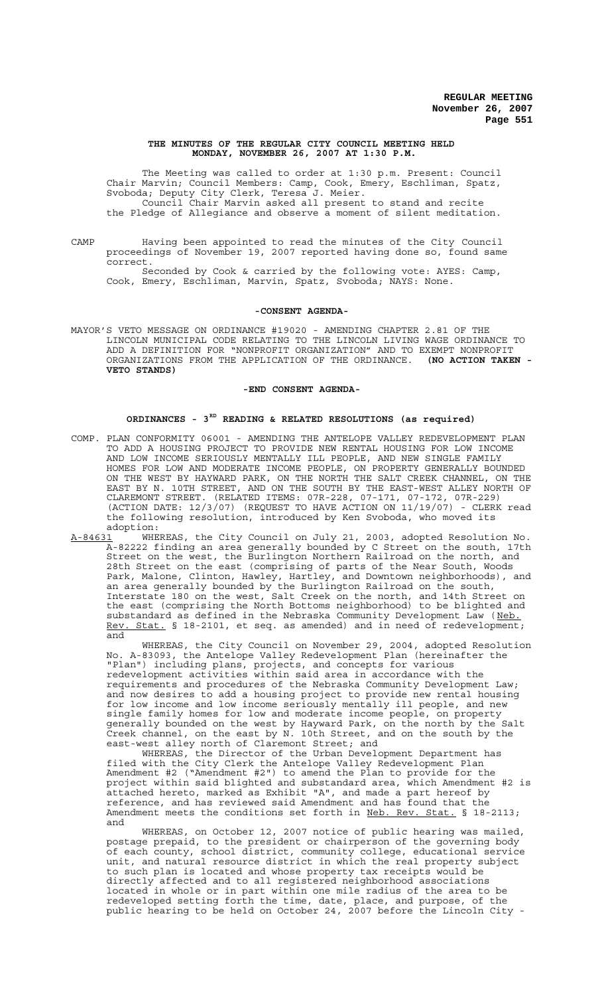### **THE MINUTES OF THE REGULAR CITY COUNCIL MEETING HELD MONDAY, NOVEMBER 26, 2007 AT 1:30 P.M.**

The Meeting was called to order at 1:30 p.m. Present: Council Chair Marvin; Council Members: Camp, Cook, Emery, Eschliman, Spatz, Svoboda; Deputy City Clerk, Teresa J. Meier. Council Chair Marvin asked all present to stand and recite the Pledge of Allegiance and observe a moment of silent meditation.

CAMP Having been appointed to read the minutes of the City Council proceedings of November 19, 2007 reported having done so, found same correct.

Seconded by Cook & carried by the following vote: AYES: Camp, Cook, Emery, Eschliman, Marvin, Spatz, Svoboda; NAYS: None.

#### **-CONSENT AGENDA-**

MAYOR'S VETO MESSAGE ON ORDINANCE #19020 - AMENDING CHAPTER 2.81 OF THE LINCOLN MUNICIPAL CODE RELATING TO THE LINCOLN LIVING WAGE ORDINANCE TO ADD A DEFINITION FOR "NONPROFIT ORGANIZATION" AND TO EXEMPT NONPROFIT ORGANIZATIONS FROM THE APPLICATION OF THE ORDINANCE. **(NO ACTION TAKEN - VETO STANDS)**

### **-END CONSENT AGENDA-**

# **ORDINANCES - 3RD READING & RELATED RESOLUTIONS (as required)**

- COMP. PLAN CONFORMITY 06001 AMENDING THE ANTELOPE VALLEY REDEVELOPMENT PLAN TO ADD A HOUSING PROJECT TO PROVIDE NEW RENTAL HOUSING FOR LOW INCOME AND LOW INCOME SERIOUSLY MENTALLY ILL PEOPLE, AND NEW SINGLE FAMILY HOMES FOR LOW AND MODERATE INCOME PEOPLE, ON PROPERTY GENERALLY BOUNDED ON THE WEST BY HAYWARD PARK, ON THE NORTH THE SALT CREEK CHANNEL, ON THE EAST BY N. 10TH STREET, AND ON THE SOUTH BY THE EAST-WEST ALLEY NORTH OF CLAREMONT STREET. (RELATED ITEMS: 07R-228, 07-171, 07-172, 07R-229) (ACTION DATE: 12/3/07) (REQUEST TO HAVE ACTION ON 11/19/07) - CLERK read the following resolution, introduced by Ken Svoboda, who moved its adoption:
- A-84631 WHEREAS, the City Council on July 21, 2003, adopted Resolution No. A-82222 finding an area generally bounded by C Street on the south, 17th Street on the west, the Burlington Northern Railroad on the north, and 28th Street on the east (comprising of parts of the Near South, Woods Park, Malone, Clinton, Hawley, Hartley, and Downtown neighborhoods), and an area generally bounded by the Burlington Railroad on the south, Interstate 180 on the west, Salt Creek on the north, and 14th Street on the east (comprising the North Bottoms neighborhood) to be blighted and substandard as defined in the Nebraska Community Development Law (Neb. Rev. Stat. § 18-2101, et seq. as amended) and in need of redevelopment; and

WHEREAS, the City Council on November 29, 2004, adopted Resolution No. A-83093, the Antelope Valley Redevelopment Plan (hereinafter the "Plan") including plans, projects, and concepts for various redevelopment activities within said area in accordance with the requirements and procedures of the Nebraska Community Development Law; and now desires to add a housing project to provide new rental housing for low income and low income seriously mentally ill people, and new single family homes for low and moderate income people, on property generally bounded on the west by Hayward Park, on the north by the Salt Creek channel, on the east by N. 10th Street, and on the south by the east-west alley north of Claremont Street; and

WHEREAS, the Director of the Urban Development Department has filed with the City Clerk the Antelope Valley Redevelopment Plan Amendment #2 ("Amendment #2") to amend the Plan to provide for the project within said blighted and substandard area, which Amendment #2 is attached hereto, marked as Exhibit "A", and made a part hereof by reference, and has reviewed said Amendment and has found that the Amendment meets the conditions set forth in Neb. Rev. Stat. § 18-2113; and

WHEREAS, on October 12, 2007 notice of public hearing was mailed, postage prepaid, to the president or chairperson of the governing body of each county, school district, community college, educational service unit, and natural resource district in which the real property subject<br>to such plan is located and whose property tax receipts would be to such plan is located and whose property tax receipts would directly affected and to all registered neighborhood associations located in whole or in part within one mile radius of the area to be redeveloped setting forth the time, date, place, and purpose, of the public hearing to be held on October 24, 2007 before the Lincoln City -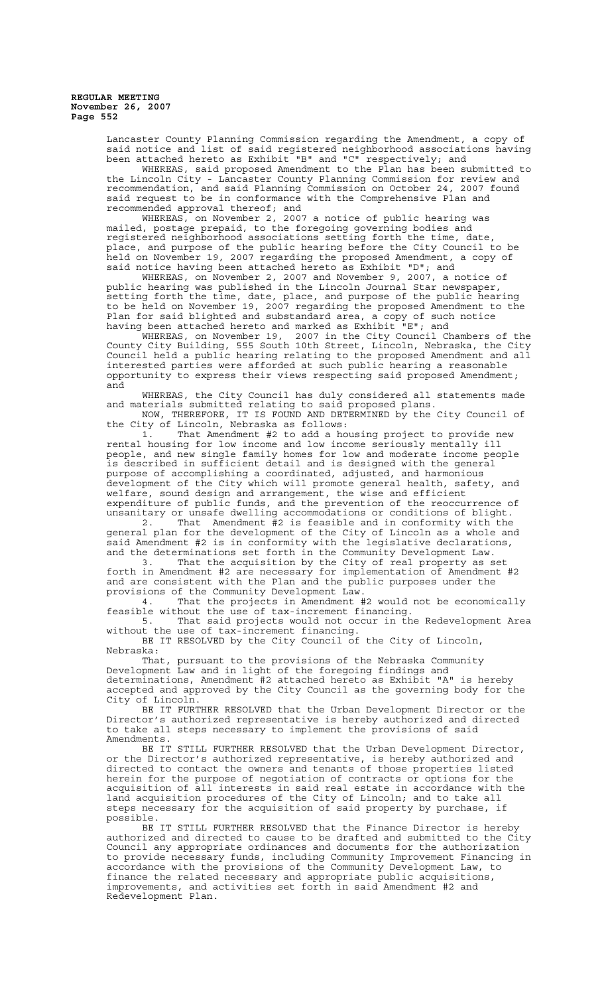> Lancaster County Planning Commission regarding the Amendment, a copy of said notice and list of said registered neighborhood associations having been attached hereto as Exhibit "B" and "C" respectively; and

> WHEREAS, said proposed Amendment to the Plan has been submitted to the Lincoln City - Lancaster County Planning Commission for review and recommendation, and said Planning Commission on October 24, 2007 found said request to be in conformance with the Comprehensive Plan and recommended approval thereof; and<br>WHEREAS, on November 2, 200

2007 a notice of public hearing was mailed, postage prepaid, to the foregoing governing bodies and registered neighborhood associations setting forth the time, date, place, and purpose of the public hearing before the City Council to be held on November 19, 2007 regarding the proposed Amendment, a copy of said notice having been attached hereto as Exhibit "D"; and

WHEREAS, on November 2, 2007 and November 9, 2007, a notice of public hearing was published in the Lincoln Journal Star newspaper, setting forth the time, date, place, and purpose of the public hearing to be held on November 19, 2007 regarding the proposed Amendment to the Plan for said blighted and substandard area, a copy of such notice having been attached hereto and marked as Exhibit "E"; and

WHEREAS, on November 19, 2007 in the City Council Chambers of the County City Building, 555 South 10th Street, Lincoln, Nebraska, the City Council held a public hearing relating to the proposed Amendment and all interested parties were afforded at such public hearing a reasonable opportunity to express their views respecting said proposed Amendment; and

WHEREAS, the City Council has duly considered all statements made and materials submitted relating to said proposed plans. NOW, THEREFORE, IT IS FOUND AND DETERMINED by the City Council of

the City of Lincoln, Nebraska as follows:

1. That Amendment #2 to add a housing project to provide new rental housing for low income and low income seriously mentally ill people, and new single family homes for low and moderate income people is described in sufficient detail and is designed with the general purpose of accomplishing a coordinated, adjusted, and harmonious development of the City which will promote general health, safety, and welfare, sound design and arrangement, the wise and efficient expenditure of public funds, and the prevention of the reoccurrence of unsanitary or unsafe dwelling accommodations or conditions of blight.

2. That Amendment  $\frac{3}{4}$  is feasible and in conformity with the general plan for the development of the City of Lincoln as a whole and said Amendment #2 is in conformity with the legislative declarations, and the determinations set forth in the Community Development Law.

3. That the acquisition by the City of real property as set forth in Amendment #2 are necessary for implementation of Amendment #2 and are consistent with the Plan and the public purposes under the provisions of the Community Development Law.

4. That the projects in Amendment #2 would not be economically feasible without the use of tax-increment financing.

5. That said projects would not occur in the Redevelopment Area without the use of tax-increment financing.

BE IT RESOLVED by the City Council of the City of Lincoln, Nebraska:

That, pursuant to the provisions of the Nebraska Community Development Law and in light of the foregoing findings and determinations, Amendment #2 attached hereto as Exhibit "A" is hereby accepted and approved by the City Council as the governing body for the City of Lincoln.

BE IT FURTHER RESOLVED that the Urban Development Director or the Director's authorized representative is hereby authorized and directed to take all steps necessary to implement the provisions of said Amendments.

BE IT STILL FURTHER RESOLVED that the Urban Development Director, or the Director's authorized representative, is hereby authorized and directed to contact the owners and tenants of those properties listed herein for the purpose of negotiation of contracts or options for the acquisition of all interests in said real estate in accordance with the land acquisition procedures of the City of Lincoln; and to take all steps necessary for the acquisition of said property by purchase, if possible.

BE IT STILL FURTHER RESOLVED that the Finance Director is hereby authorized and directed to cause to be drafted and submitted to the City Council any appropriate ordinances and documents for the authorization to provide necessary funds, including Community Improvement Financing in accordance with the provisions of the Community Development Law, to finance the related necessary and appropriate public acquisitions, improvements, and activities set forth in said Amendment #2 and Redevelopment Plan.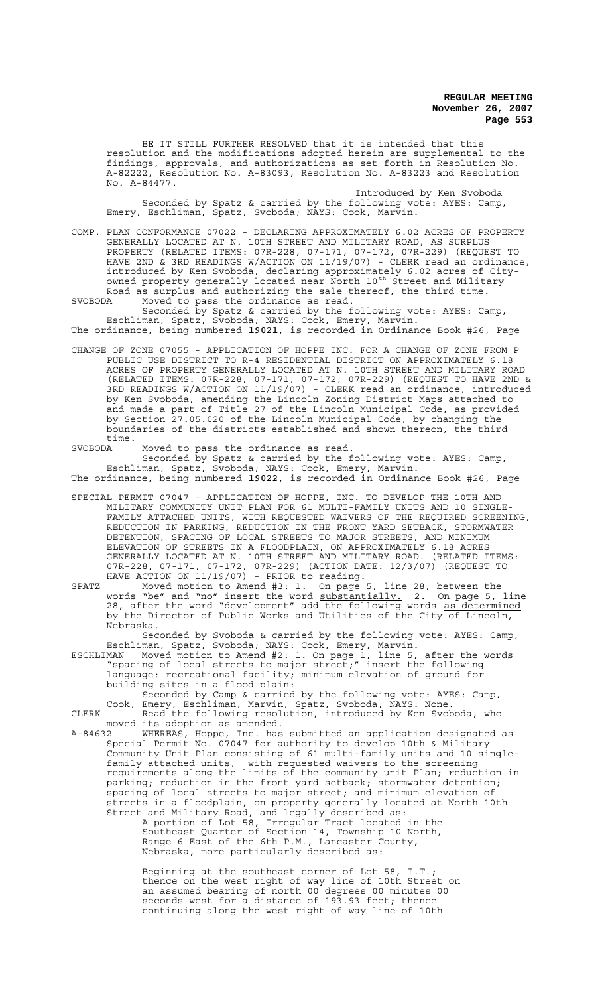BE IT STILL FURTHER RESOLVED that it is intended that this resolution and the modifications adopted herein are supplemental to the findings, approvals, and authorizations as set forth in Resolution No. A-82222, Resolution No. A-83093, Resolution No. A-83223 and Resolution No. A-84477.

Introduced by Ken Svoboda Seconded by Spatz & carried by the following vote: AYES: Camp, Emery, Eschliman, Spatz, Svoboda; NAYS: Cook, Marvin.

COMP. PLAN CONFORMANCE 07022 - DECLARING APPROXIMATELY 6.02 ACRES OF PROPERTY GENERALLY LOCATED AT N. 10TH STREET AND MILITARY ROAD, AS SURPLUS PROPERTY (RELATED ITEMS: 07R-228, 07-171, 07-172, 07R-229) (REQUEST TO HAVE 2ND & 3RD READINGS W/ACTION ON 11/19/07) - CLERK read an ordinance, introduced by Ken Svoboda, declaring approximately 6.02 acres of Cityowned property generally located near North 10<sup>th</sup> Street and Military Road as surplus and authorizing the sale thereof, the third time. SVOBODA Moved to pass the ordinance as read.

Seconded by Spatz & carried by the following vote: AYES: Camp, Eschliman, Spatz, Svoboda; NAYS: Cook, Emery, Marvin.

The ordinance, being numbered **19021**, is recorded in Ordinance Book #26, Page

CHANGE OF ZONE 07055 - APPLICATION OF HOPPE INC. FOR A CHANGE OF ZONE FROM P PUBLIC USE DISTRICT TO R-4 RESIDENTIAL DISTRICT ON APPROXIMATELY 6.18 ACRES OF PROPERTY GENERALLY LOCATED AT N. 10TH STREET AND MILITARY ROAD (RELATED ITEMS: 07R-228, 07-171, 07-172, 07R-229) (REQUEST TO HAVE 2ND & 3RD READINGS W/ACTION ON 11/19/07) - CLERK read an ordinance, introduced by Ken Svoboda, amending the Lincoln Zoning District Maps attached to and made a part of Title 27 of the Lincoln Municipal Code, as provided by Section 27.05.020 of the Lincoln Municipal Code, by changing the boundaries of the districts established and shown thereon, the third

time.<br>SVOBODA SVOBODA Moved to pass the ordinance as read.

Seconded by Spatz & carried by the following vote: AYES: Camp, Eschliman, Spatz, Svoboda; NAYS: Cook, Emery, Marvin. The ordinance, being numbered **19022**, is recorded in Ordinance Book #26, Page

- SPECIAL PERMIT 07047 APPLICATION OF HOPPE, INC. TO DEVELOP THE 10TH AND MILITARY COMMUNITY UNIT PLAN FOR 61 MULTI-FAMILY UNITS AND 10 SINGLE-FAMILY ATTACHED UNITS, WITH REQUESTED WAIVERS OF THE REQUIRED SCREENING, REDUCTION IN PARKING, REDUCTION IN THE FRONT YARD SETBACK, STORMWATER DETENTION, SPACING OF LOCAL STREETS TO MAJOR STREETS, AND MINIMUM ELEVATION OF STREETS IN A FLOODPLAIN, ON APPROXIMATELY 6.18 ACRES GENERALLY LOCATED AT N. 10TH STREET AND MILITARY ROAD. (RELATED ITEMS: 07R-228, 07-171, 07-172, 07R-229) (ACTION DATE: 12/3/07) (REQUEST TO HAVE ACTION ON 11/19/07) - PRIOR to reading:
- SPATZ Moved motion to Amend #3: 1. On page 5, line 28, between the words "be" and "no" insert the word <u>substantially.</u> 2. On page 5, line 28, after the word "development" add the following words as determined by the Director of Public Works and Utilities of the City of Lincoln, Nebraska.

Seconded by Svoboda & carried by the following vote: AYES: Camp, Eschliman, Spatz, Svoboda; NAYS: Cook, Emery, Marvin.

ESCHLIMAN Moved motion to Amend #2: 1. On page 1, line 5, after the words "spacing of local streets to major street;" insert the following language: recreational facility; minimum elevation of ground for building sites in a flood plain:

Seconded by Camp & carried by the following vote: AYES: Camp, Cook, Emery, Eschliman, Marvin, Spatz, Svoboda; NAYS: None. CLERK Read the following resolution, introduced by Ken Svoboda, who moved its adoption as amended.

A-84632 MHEREAS, Hoppe, Inc. has submitted an application designated as Special Permit No. 07047 for authority to develop 10th & Military Community Unit Plan consisting of 61 multi-family units and 10 singlefamily attached units, with requested waivers to the screening requirements along the limits of the community unit Plan; reduction in parking; reduction in the front yard setback; stormwater detention; spacing of local streets to major street; and minimum elevation of streets in a floodplain, on property generally located at North 10th Street and Military Road, and legally described as:

A portion of Lot 58, Irregular Tract located in the Southeast Quarter of Section 14, Township 10 North, Range 6 East of the 6th P.M., Lancaster County, Nebraska, more particularly described as:

Beginning at the southeast corner of Lot 58, I.T.; thence on the west right of way line of 10th Street on an assumed bearing of north 00 degrees 00 minutes 00 seconds west for a distance of 193.93 feet; thence continuing along the west right of way line of 10th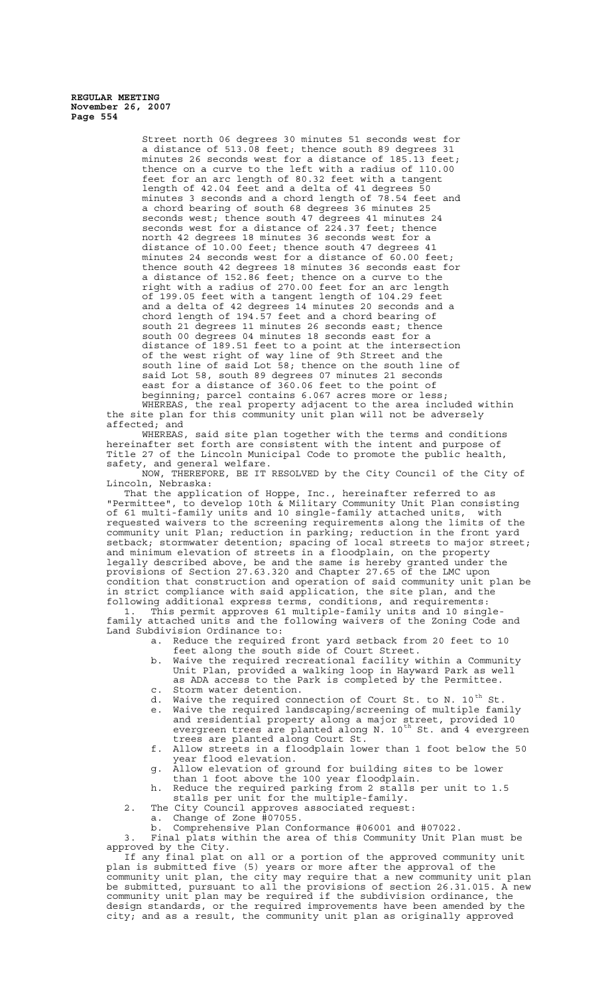> Street north 06 degrees 30 minutes 51 seconds west for a distance of 513.08 feet; thence south 89 degrees 31 minutes 26 seconds west for a distance of 185.13 feet; thence on a curve to the left with a radius of 110.00 feet for an arc length of 80.32 feet with a tangent length of 42.04 feet and a delta of 41 degrees 50 minutes 3 seconds and a chord length of 78.54 feet and a chord bearing of south 68 degrees 36 minutes 25 seconds west; thence south 47 degrees 41 minutes 24 seconds west for a distance of 224.37 feet; thence north 42 degrees 18 minutes 36 seconds west for a distance of 10.00 feet; thence south 47 degrees 41 minutes 24 seconds west for a distance of 60.00 feet; thence south 42 degrees 18 minutes 36 seconds east for a distance of 152.86 feet; thence on a curve to the right with a radius of 270.00 feet for an arc length of 199.05 feet with a tangent length of 104.29 feet and a delta of 42 degrees 14 minutes 20 seconds and a chord length of 194.57 feet and a chord bearing of south 21 degrees 11 minutes 26 seconds east; thence south 00 degrees 04 minutes 18 seconds east for a distance of 189.51 feet to a point at the intersection of the west right of way line of 9th Street and the south line of said Lot 58; thence on the south line of said Lot 58, south 89 degrees 07 minutes 21 seconds east for a distance of 360.06 feet to the point of beginning; parcel contains 6.067 acres more or less; WHEREAS, the real property adjacent to the area included within

the site plan for this community unit plan will not be adversely affected; and

WHEREAS, said site plan together with the terms and conditions hereinafter set forth are consistent with the intent and purpose of Title 27 of the Lincoln Municipal Code to promote the public health, safety, and general welfare.

NOW, THEREFORE, BE IT RESOLVED by the City Council of the City of Lincoln, Nebraska:

That the application of Hoppe, Inc., hereinafter referred to as "Permittee", to develop 10th & Military Community Unit Plan consisting of 61 multi-family units and 10 single-family attached units, with requested waivers to the screening requirements along the limits of the community unit Plan; reduction in parking; reduction in the front yard setback; stormwater detention; spacing of local streets to major street; and minimum elevation of streets in a floodplain, on the property legally described above, be and the same is hereby granted under the provisions of Section 27.63.320 and Chapter 27.65 of the LMC upon condition that construction and operation of said community unit plan be in strict compliance with said application, the site plan, and the following additional express terms, conditions, and requirements:

1. This permit approves 61 multiple-family units and 10 singlefamily attached units and the following waivers of the Zoning Code and Land Subdivision Ordinance to:

- a. Reduce the required front yard setback from 20 feet to 10 feet along the south side of Court Street.
- b. Waive the required recreational facility within a Community Unit Plan, provided a walking loop in Hayward Park as well as ADA access to the Park is completed by the Permittee.
- c. Storm water detention.<br>d. Waive the required con Waive the required connection of Court St. to N.  $10^{th}$  St.
- e. Waive the required landscaping/screening of multiple family and residential property along a major street, provided 10 evergreen trees are planted along N. 10<sup>th</sup> St. and 4 evergreen trees are planted along Court St.
- f. Allow streets in a floodplain lower than 1 foot below the 50 year flood elevation.
- g. Allow elevation of ground for building sites to be lower than 1 foot above the 100 year floodplain.
- h. Reduce the required parking from 2 stalls per unit to 1.5 stalls per unit for the multiple-family.
- 2. The City Council approves associated request:
	- a. Change of Zone  $\frac{1}{4}07055$ . b. Comprehensive Plan Conformance #06001 and #07022.

3. Final plats within the area of this Community Unit Plan must be approved by the City.

If any final plat on all or a portion of the approved community unit plan is submitted five (5) years or more after the approval of the community unit plan, the city may require that a new community unit plan be submitted, pursuant to all the provisions of section 26.31.015. A new community unit plan may be required if the subdivision ordinance, the design standards, or the required improvements have been amended by the city; and as a result, the community unit plan as originally approved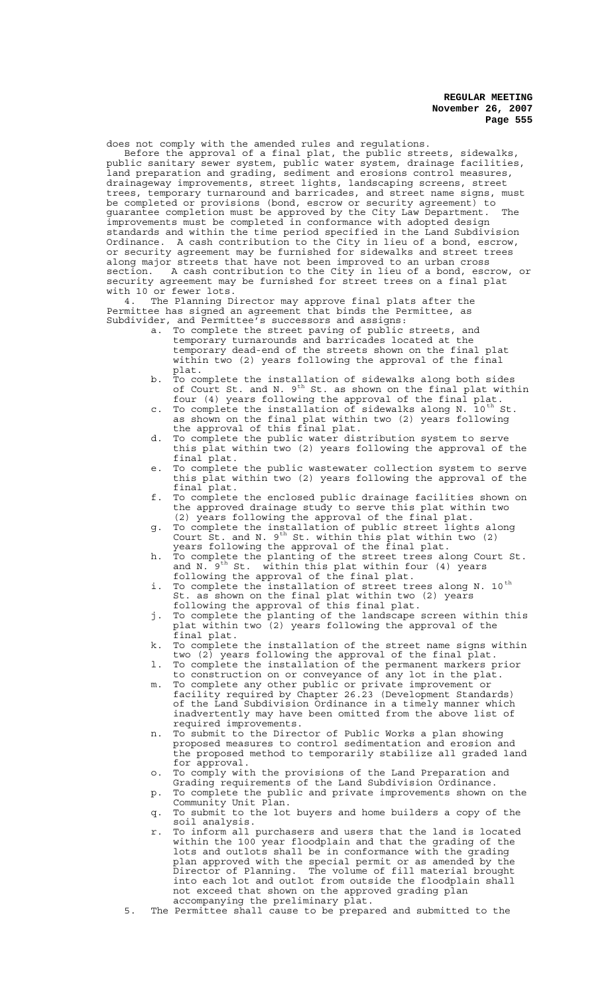does not comply with the amended rules and regulations.

Before the approval of a final plat, the public streets, sidewalks, public sanitary sewer system, public water system, drainage facilities, land preparation and grading, sediment and erosions control measures, drainageway improvements, street lights, landscaping screens, street trees, temporary turnaround and barricades, and street name signs, must be completed or provisions (bond, escrow or security agreement) to guarantee completion must be approved by the City Law Department. The improvements must be completed in conformance with adopted design standards and within the time period specified in the Land Subdivision Ordinance. A cash contribution to the City in lieu of a bond, escrow, or security agreement may be furnished for sidewalks and street trees along major streets that have not been improved to an urban cross<br>section. A cash contribution to the City in lieu of a bond, escrow, or section. A cash contribution to the City in lieu of a bond, escrow, or security agreement may be furnished for street trees on a final plat with 10 or fewer lots.

4. The Planning Director may approve final plats after the Permittee has signed an agreement that binds the Permittee, as Subdivider, and Permittee's successors and assigns:

- a. To complete the street paving of public streets, and temporary turnarounds and barricades located at the temporary dead-end of the streets shown on the final plat within two (2) years following the approval of the final plat.
- b. To complete the installation of sidewalks along both sides of Court St. and N. 9<sup>th</sup> St. as shown on the final plat within four (4) years following the approval of the final plat.
- c. To complete the installation of sidewalks along N. 10<sup>th</sup> St. as shown on the final plat within two (2) years following the approval of this final plat.
- d. To complete the public water distribution system to serve this plat within two (2) years following the approval of the final plat.
- e. To complete the public wastewater collection system to serve this plat within two (2) years following the approval of the final plat.
- f. To complete the enclosed public drainage facilities shown on the approved drainage study to serve this plat within two (2) years following the approval of the final plat.
- g. To complete the installation of public street lights along Court St. and N.  $9^{th}$  St. within this plat within two (2) years following the approval of the final plat.
- h. To complete the planting of the street trees along Court St. and N.  $9^{\text{th}}$  St. within this plat within four (4) years following the approval of the final plat.
- i. To complete the installation of street trees along N. 10<sup>th</sup> St. as shown on the final plat within two (2) years following the approval of this final plat.
- j. To complete the planting of the landscape screen within this plat within two (2) years following the approval of the final plat.
- k. To complete the installation of the street name signs within two (2) years following the approval of the final plat.
- l. To complete the installation of the permanent markers prior to construction on or conveyance of any lot in the plat.
- m. To complete any other public or private improvement or facility required by Chapter 26.23 (Development Standards) of the Land Subdivision Ordinance in a timely manner which inadvertently may have been omitted from the above list of required improvements.
- n. To submit to the Director of Public Works a plan showing proposed measures to control sedimentation and erosion and the proposed method to temporarily stabilize all graded land for approval.
- o. To comply with the provisions of the Land Preparation and Grading requirements of the Land Subdivision Ordinance.
- p. To complete the public and private improvements shown on the Community Unit Plan.
- q. To submit to the lot buyers and home builders a copy of the soil analysis.
- r. To inform all purchasers and users that the land is located within the 100 year floodplain and that the grading of the lots and outlots shall be in conformance with the grading plan approved with the special permit or as amended by the Director of Planning. The volume of fill material brought into each lot and outlot from outside the floodplain shall not exceed that shown on the approved grading plan accompanying the preliminary plat.
- 5. The Permittee shall cause to be prepared and submitted to the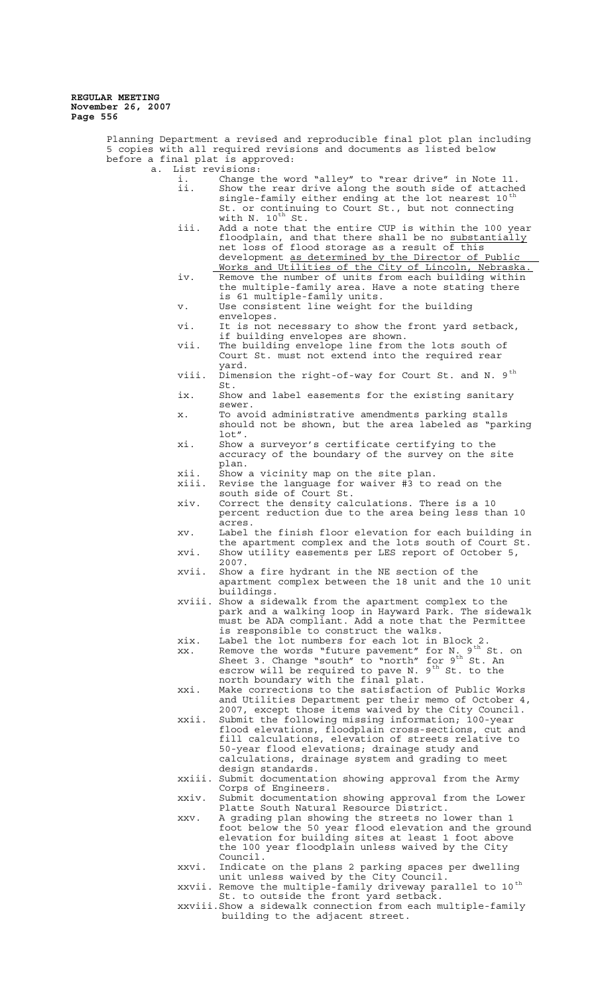> Planning Department a revised and reproducible final plot plan including 5 copies with all required revisions and documents as listed below before a final plat is approved: a. List revisions: i. Change the word "alley" to "rear drive" in Note 11.<br>ii. Show the rear drive along the south side of attache Show the rear drive along the south side of attached<br>single-family either ending at the lot nearest 10<sup>th</sup> single-family either ending at the lot nearest  $10^{th}$ <br>St. or continuing to Court St., but not connecting with N.  $10^{th}$  St. iii. Add a note that the entire CUP is within the 100 year floodplain, and that there shall be no substantially net loss of flood storage as a result of this development as determined by the Director of Public Works and Utilities of the City of Lincoln, Nebraska. iv. Remove the number of units from each building within the multiple-family area. Have a note stating there is 61 multiple-family units. v. Use consistent line weight for the building envelopes. vi. It is not necessary to show the front yard setback, if building envelopes are shown. vii. The building envelope line from the lots south of Court St. must not extend into the required rear yard. viii. Dimension the right-of-way for Court St. and N. 9<sup>th</sup> St. ix. Show and label easements for the existing sanitary sewer. x. To avoid administrative amendments parking stalls should not be shown, but the area labeled as "parking lot". xi. Show a surveyor's certificate certifying to the accuracy of the boundary of the survey on the site plan. xii. Show a vicinity map on the site plan. Revise the language for waiver #3 to read on the south side of Court St. xiv. Correct the density calculations. There is a 10 percent reduction due to the area being less than 10 acres. xv. Label the finish floor elevation for each building in the apartment complex and the lots south of Court St. xvi. Show utility easements per LES report of October 5, 2007. xvii. Show a fire hydrant in the NE section of the apartment complex between the 18 unit and the 10 unit buildings. xviii. Show a sidewalk from the apartment complex to the park and a walking loop in Hayward Park. The sidewalk must be ADA compliant. Add a note that the Permittee is responsible to construct the walks. xix. Label the lot numbers for each lot in Block 2. xx. Remove the words "future pavement" for N. 9<sup>th</sup> St. on Sheet 3. Change "south" to "north" for  $9<sup>th</sup>$  St. An escrow will be required to pave N.  $9^{th}$  St. to the north boundary with the final plat. xxi. Make corrections to the satisfaction of Public Works and Utilities Department per their memo of October 4, 2007, except those items waived by the City Council. xxii. Submit the following missing information; 100-year flood elevations, floodplain cross-sections, cut and fill calculations, elevation of streets relative to 50-year flood elevations; drainage study and calculations, drainage system and grading to meet design standards. xxiii. Submit documentation showing approval from the Army Corps of Engineers. xxiv. Submit documentation showing approval from the Lower Platte South Natural Resource District. xxv. A grading plan showing the streets no lower than 1 foot below the 50 year flood elevation and the ground elevation for building sites at least 1 foot above the 100 year floodplain unless waived by the City Council. xxvi. Indicate on the plans 2 parking spaces per dwelling unit unless waived by the City Council. xxvii. Remove the multiple-family driveway parallel to 10  $^{\rm th}$ St. to outside the front yard setback.

xxviii.Show a sidewalk connection from each multiple-family building to the adjacent street.